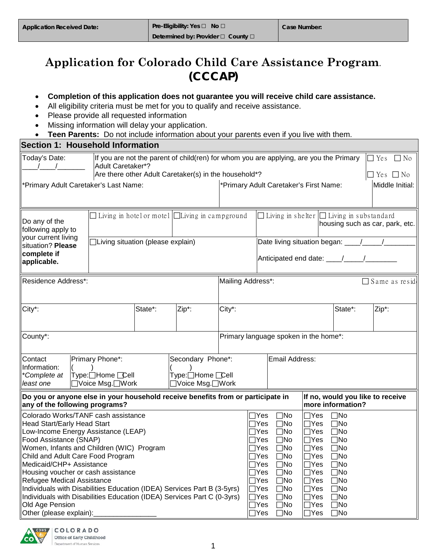# **Application for Colorado Child Care Assistance Program**. **(CCCAP)**

### • **Completion of this application does not guarantee you will receive child care assistance.**

- All eligibility criteria must be met for you to qualify and receive assistance.
- Please provide all requested information
- Missing information will delay your application.
- **Teen Parents:** Do not include information about your parents even if you live with them.

| <b>Section 1: Household Information</b>                                                                                                                                                                                                                                                                                                                                                                                                                                                                                   |                                                         |                                                                                                                                                                             |                                                                 |                                        |                                                                                                                                                                                      |                                                                                                                                                                                                        |                                                                                                                                                                                                                   |                                                                                                                                                                                      |       |                 |
|---------------------------------------------------------------------------------------------------------------------------------------------------------------------------------------------------------------------------------------------------------------------------------------------------------------------------------------------------------------------------------------------------------------------------------------------------------------------------------------------------------------------------|---------------------------------------------------------|-----------------------------------------------------------------------------------------------------------------------------------------------------------------------------|-----------------------------------------------------------------|----------------------------------------|--------------------------------------------------------------------------------------------------------------------------------------------------------------------------------------|--------------------------------------------------------------------------------------------------------------------------------------------------------------------------------------------------------|-------------------------------------------------------------------------------------------------------------------------------------------------------------------------------------------------------------------|--------------------------------------------------------------------------------------------------------------------------------------------------------------------------------------|-------|-----------------|
| Today's Date:                                                                                                                                                                                                                                                                                                                                                                                                                                                                                                             |                                                         | If you are not the parent of child(ren) for whom you are applying, are you the Primary<br><b>Adult Caretaker*?</b><br>Are there other Adult Caretaker(s) in the household*? |                                                                 |                                        |                                                                                                                                                                                      |                                                                                                                                                                                                        | $\Box$ Yes                                                                                                                                                                                                        | $\Box$ No<br>$\Box$ Yes $\Box$ No                                                                                                                                                    |       |                 |
| *Primary Adult Caretaker's Last Name:                                                                                                                                                                                                                                                                                                                                                                                                                                                                                     |                                                         |                                                                                                                                                                             |                                                                 | *Primary Adult Caretaker's First Name: |                                                                                                                                                                                      |                                                                                                                                                                                                        |                                                                                                                                                                                                                   |                                                                                                                                                                                      |       | Middle Initial: |
| Do any of the<br>following apply to<br>your current living                                                                                                                                                                                                                                                                                                                                                                                                                                                                |                                                         |                                                                                                                                                                             | $\Box$ Living in hotel or motel $\Box$ Living in campground     |                                        |                                                                                                                                                                                      |                                                                                                                                                                                                        |                                                                                                                                                                                                                   | $\Box$ Living in shelter $\Box$ Living in substandard<br>housing such as car, park, etc.                                                                                             |       |                 |
| □Living situation (please explain)<br>situation? Please<br>complete if<br>Anticipated end date: \[\sqmain(\)]<br>applicable.                                                                                                                                                                                                                                                                                                                                                                                              |                                                         |                                                                                                                                                                             |                                                                 |                                        |                                                                                                                                                                                      |                                                                                                                                                                                                        |                                                                                                                                                                                                                   |                                                                                                                                                                                      |       |                 |
| Residence Address*:                                                                                                                                                                                                                                                                                                                                                                                                                                                                                                       |                                                         |                                                                                                                                                                             |                                                                 | Mailing Address*:                      |                                                                                                                                                                                      |                                                                                                                                                                                                        |                                                                                                                                                                                                                   |                                                                                                                                                                                      |       | Same as resid   |
| City*:                                                                                                                                                                                                                                                                                                                                                                                                                                                                                                                    |                                                         | State*:                                                                                                                                                                     | Zip*:                                                           | City*:                                 |                                                                                                                                                                                      |                                                                                                                                                                                                        |                                                                                                                                                                                                                   | State*:                                                                                                                                                                              | Zip*: |                 |
| County*:                                                                                                                                                                                                                                                                                                                                                                                                                                                                                                                  |                                                         |                                                                                                                                                                             |                                                                 | Primary language spoken in the home*:  |                                                                                                                                                                                      |                                                                                                                                                                                                        |                                                                                                                                                                                                                   |                                                                                                                                                                                      |       |                 |
| Contact<br>Information:<br>*Complete at<br>least one                                                                                                                                                                                                                                                                                                                                                                                                                                                                      | Primary Phone*:<br>Type:□Home □Cell<br>□Voice Msg.□Work |                                                                                                                                                                             | Secondary Phone*:<br>Type:□Home <b>Cell</b><br>□Voice Msg.□Work |                                        |                                                                                                                                                                                      | Email Address:                                                                                                                                                                                         |                                                                                                                                                                                                                   |                                                                                                                                                                                      |       |                 |
| Do you or anyone else in your household receive benefits from or participate in<br>any of the following programs?                                                                                                                                                                                                                                                                                                                                                                                                         |                                                         |                                                                                                                                                                             |                                                                 |                                        |                                                                                                                                                                                      |                                                                                                                                                                                                        |                                                                                                                                                                                                                   | If no, would you like to receive<br>more information?                                                                                                                                |       |                 |
| Colorado Works/TANF cash assistance<br>Head Start/Early Head Start<br>Low-Income Energy Assistance (LEAP)<br>Food Assistance (SNAP)<br>Women, Infants and Children (WIC) Program<br>Child and Adult Care Food Program<br>Medicaid/CHP+ Assistance<br>Housing voucher or cash assistance<br>Refugee Medical Assistance<br>Individuals with Disabilities Education (IDEA) Services Part B (3-5yrs)<br>Individuals with Disabilities Education (IDEA) Services Part C (0-3yrs)<br>Old Age Pension<br>Other (please explain): |                                                         |                                                                                                                                                                             |                                                                 |                                        | $\sqcap$ Yes<br>$\sqcap$ Yes<br>∃Yes<br>$\sqcap$ Yes<br>$\sqcap$ Yes<br>$\Box$ Yes<br>$\Box$ Yes<br>$\Box$ Yes<br>$\Box$ Yes<br>$\Box$ Yes<br>$\Box$ Yes<br>$\Box$ Yes<br>$\Box$ Yes | $\square$ No<br>$\Box$ No<br>$\square$ No<br>$\square$ No<br>$\square$ No<br>$\Box$ No<br>$\square$ No<br>$\square$ No<br>$\square$ No<br>$\square$ No<br>$\square$ No<br>$\square$ No<br>$\square$ No | $\Box$ Yes<br>$\Box$ Yes<br>$\Box$ Yes<br>$\Box$ Yes<br>$\Box$ Yes<br>$\Box$ Yes<br> Yes<br>ΙI<br> Yes<br>$\overline{\phantom{a}}$<br>$\Box$ Yes<br>$\Box$ Yes<br>$\Box$ Yes<br>$\Box$ Yes<br>Yes<br>$\mathsf{L}$ | $\Box$ No<br>$\Box$ No<br>$\Box$ No<br>$\Box$ No<br>$\square$ No<br>$\Box$ No<br>$\Box$ No<br>$\Box$ No<br>$\Box$ No<br>$\square$ No<br>$\square$ No<br>$\square$ No<br>$\square$ No |       |                 |

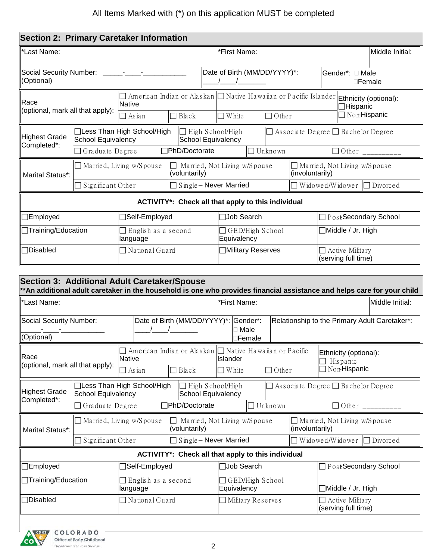| <b>Section 2: Primary Caretaker Information</b>                                                                                                         |                           |                                        |                                                                    |                                |                |                 |                                                          |                                                                                                                                                     |  |
|---------------------------------------------------------------------------------------------------------------------------------------------------------|---------------------------|----------------------------------------|--------------------------------------------------------------------|--------------------------------|----------------|-----------------|----------------------------------------------------------|-----------------------------------------------------------------------------------------------------------------------------------------------------|--|
| *Last Name:                                                                                                                                             |                           |                                        |                                                                    | *First Name:                   |                |                 |                                                          | Middle Initial:                                                                                                                                     |  |
| Social Security Number: ______-___-____-<br>(Optional)                                                                                                  |                           |                                        |                                                                    | Date of Birth (MM/DD/YYYY)*:   |                |                 | Gender*: □ Male                                          | $\square$ Female                                                                                                                                    |  |
| Race<br>(optional, mark all that apply):                                                                                                                |                           | Native<br>$\Box$ Asian                 | $\Box$ Black                                                       | $\Box$ White                   | $\Box$ Other   |                 |                                                          | $\Box$ American Indian or Alaskan $\Box$ Native Hawaiian or Pacific Islander <b>Ethnicity (optional):</b><br>$\Box$ Hispanic<br>$\Box$ Non-Hispanic |  |
| <b>Highest Grade</b>                                                                                                                                    | <b>School Equivalency</b> | □Less Than High School/High            | □ High School/High<br>School Equivalency                           |                                |                |                 |                                                          | $\Box$ Associate Degree $\Box$ Bachelor Degree                                                                                                      |  |
| Completed*:                                                                                                                                             | Graduate Degree           |                                        | <b>PhD/Doctorate</b>                                               |                                | $\Box$ Unknown |                 |                                                          | $\Box$ Other ________                                                                                                                               |  |
| Marital Status*:                                                                                                                                        |                           | Married, Living w/Spouse               | (voluntarily)                                                      | Married, Not Living w/Spouse   |                | (involuntarily) | $\Box$ Married, Not Living w/Spouse                      |                                                                                                                                                     |  |
|                                                                                                                                                         | $\Box$ Significant Other  |                                        | $Single - Never Married$                                           |                                |                |                 | Widowed/Widower                                          | $\Box$ Divorced                                                                                                                                     |  |
|                                                                                                                                                         |                           |                                        | ACTIVITY*: Check all that apply to this individual                 |                                |                |                 |                                                          |                                                                                                                                                     |  |
| $\Box$ Employed                                                                                                                                         |                           | □Self-Employed                         |                                                                    | □Job Search                    |                |                 |                                                          | □ PostSecondary School                                                                                                                              |  |
| <b>Training/Education</b>                                                                                                                               |                           | $\Box$ English as a second<br>language |                                                                    | GED/High School<br>Equivalency |                |                 | Middle / Jr. High                                        |                                                                                                                                                     |  |
| □Disabled<br>$\Box$ National Guard                                                                                                                      |                           |                                        |                                                                    | <b>Nilitary Reserves</b>       |                |                 |                                                          | $\Box$ Active Military<br>(serving full time)                                                                                                       |  |
| <b>Section 3: Additional Adult Caretaker/Spouse</b>                                                                                                     |                           |                                        |                                                                    |                                |                |                 |                                                          | ** An additional adult caretaker in the household is one who provides financial assistance and helps care for your child                            |  |
| *Last Name:                                                                                                                                             |                           |                                        |                                                                    | *First Name:                   |                |                 |                                                          | Middle Initial:                                                                                                                                     |  |
| Social Security Number:<br>(Optional)                                                                                                                   |                           |                                        | Date of Birth (MM/DD/YYYY)*: Gender*:                              | $\Box$ Male<br>∃Female         |                |                 |                                                          | Relationship to the Primary Adult Caretaker*:                                                                                                       |  |
| Race<br>(optional, mark all that apply):                                                                                                                |                           | <b>Native</b><br>$\Box$ Asian          | □ American Indian or Alaskan □ Native Hawaiian or Pacific<br>Black | Islander<br>White              | $\Box$ Other   |                 | Ethnicity (optional):<br>Hispanic<br><b>Non-Hispanic</b> |                                                                                                                                                     |  |
| Highest Grade<br>Completed*:                                                                                                                            | School Equivalency        | □Less Than High School/High            | $\Box$ High School/High<br><b>School Equivalency</b>               |                                |                |                 |                                                          | $\Box$ Associate Degree $\Box$ Bachelor Degree                                                                                                      |  |
|                                                                                                                                                         | Graduate Degree           |                                        | <b>7PhD/Doctorate</b>                                              |                                | $\Box$ Unknown |                 |                                                          | $\Box$ Other ___________                                                                                                                            |  |
| $\Box$ Married, Not Living w/Spouse<br>Married, Living w/Spouse<br>Married, Not Living w/Spouse<br>(involuntarily)<br>(voluntarily)<br>Marital Status*: |                           |                                        |                                                                    |                                |                |                 |                                                          |                                                                                                                                                     |  |
|                                                                                                                                                         | Significant Other         |                                        | $Single - Never Married$                                           |                                |                |                 | Widowed/Widower                                          | $\Box$ Divorced                                                                                                                                     |  |
|                                                                                                                                                         |                           |                                        | ACTIVITY*: Check all that apply to this individual                 |                                |                |                 |                                                          |                                                                                                                                                     |  |
| $\Box$ Employed                                                                                                                                         |                           | <b>Self-Employed</b>                   |                                                                    | Job Search                     |                |                 |                                                          | PostSecondary School                                                                                                                                |  |
| <b>Training/Education</b>                                                                                                                               |                           | $\Box$ English as a second<br>language |                                                                    | GED/High School<br>Equivalency |                |                 | ]Middle / Jr. High                                       |                                                                                                                                                     |  |
| Disabled                                                                                                                                                |                           | $\Box$ National Guard                  |                                                                    | Military Reserves              |                |                 | Active Military<br>(serving full time)                   |                                                                                                                                                     |  |

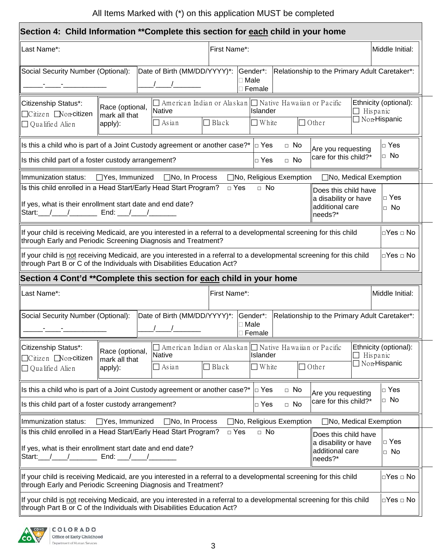## All Items Marked with (\*) on this application MUST be completed

|                                                                                                                                                                                                               | Section 4: Child Information **Complete this section for each child in your home                                                                 |                                                                                                       |  |  |  |
|---------------------------------------------------------------------------------------------------------------------------------------------------------------------------------------------------------------|--------------------------------------------------------------------------------------------------------------------------------------------------|-------------------------------------------------------------------------------------------------------|--|--|--|
| Last Name*:                                                                                                                                                                                                   | First Name*:                                                                                                                                     | Middle Initial:                                                                                       |  |  |  |
| Social Security Number (Optional):                                                                                                                                                                            | Date of Birth (MM/DD/YYYY)*:<br>Gender*:<br>$\square$ Male<br>$\Box$ Female                                                                      | Relationship to the Primary Adult Caretaker*:                                                         |  |  |  |
| Citizenship Status*:<br>Race (optional,<br>□Citizen ■Non-citizen<br>mark all that<br>apply):<br>$\Box$ Qualified Alien                                                                                        | $\Box$ American Indian or Alaskan $\Box$ Native Hawaiian or Pacific<br>Native<br><b>Islander</b><br>$\Box$ Black<br>$\Box$ White<br>$\Box$ Asian | Ethnicity (optional):<br>Hispanic<br>$\Box$ Non-Hispanic<br>$\Box$ Other                              |  |  |  |
|                                                                                                                                                                                                               | Is this a child who is part of a Joint Custody agreement or another case?*<br>$\Box$ Yes                                                         | $\Box$ No<br>$\Box$ Yes<br>Are you requesting                                                         |  |  |  |
| Is this child part of a foster custody arrangement?                                                                                                                                                           | $\Box$ Yes                                                                                                                                       | $\Box$ No<br>care for this child?*<br>$\Box$ No                                                       |  |  |  |
| Immunization status:                                                                                                                                                                                          | $\Box$ Yes, Immunized $\Box$ No, In Process<br>□No, Religious Exemption                                                                          | $\Box$ No, Medical Exemption                                                                          |  |  |  |
| Is this child enrolled in a Head Start/Early Head Start Program?<br>If yes, what is their enrollment start date and end date?<br>Start: / / / End: / /                                                        | $\Box$ Yes<br>$\Box$ No                                                                                                                          | Does this child have<br>$\Box$ Yes<br>a disability or have<br>additional care<br>$\Box$ No<br>needs?* |  |  |  |
| through Early and Periodic Screening Diagnosis and Treatment?                                                                                                                                                 | If your child is receiving Medicaid, are you interested in a referral to a developmental screening for this child                                | □Yes □ No                                                                                             |  |  |  |
| through Part B or C of the Individuals with Disabilities Education Act?                                                                                                                                       | If your child is not receiving Medicaid, are you interested in a referral to a developmental screening for this child                            | $\Box$ Yes $\Box$ No                                                                                  |  |  |  |
|                                                                                                                                                                                                               | Section 4 Cont'd **Complete this section for each child in your home                                                                             |                                                                                                       |  |  |  |
| Last Name*:                                                                                                                                                                                                   | First Name*:                                                                                                                                     | Middle Initial:                                                                                       |  |  |  |
| Social Security Number (Optional):                                                                                                                                                                            | Date of Birth (MM/DD/YYYY)*:<br>Gender*:<br>⊟ Male<br>∃ Female                                                                                   | Relationship to the Primary Adult Caretaker*:                                                         |  |  |  |
| Citizenship Status*:<br>Race (optional,                                                                                                                                                                       | $\Box$ American Indian or Alaskan $\Box$ Native Hawaiian or Pacific<br><b>Native</b><br>Islander                                                 | Ethnicity (optional):<br>$\Box$ Hispanic                                                              |  |  |  |
| □ Citizen Noncitizen<br>mark all that<br>apply):<br>$\Box$ Qualified Alien                                                                                                                                    | $\Box$ Black<br>$\Box$ White<br>$\Box$ Asian                                                                                                     | $\Box$ Non-Hispanic<br>$\Box$ Other                                                                   |  |  |  |
|                                                                                                                                                                                                               | Is this a child who is part of a Joint Custody agreement or another case?*<br>$\Box$ Yes                                                         | $\Box$ No<br>$\Box$ Yes<br>Are you requesting                                                         |  |  |  |
| $\Box$ No<br>care for this child?*<br>$\Box$ No<br>Is this child part of a foster custody arrangement?<br>$\Box$ Yes                                                                                          |                                                                                                                                                  |                                                                                                       |  |  |  |
| □No, Medical Exemption<br>□No, Religious Exemption<br>Immunization status:<br>□Yes, Immunized<br>□No, In Process                                                                                              |                                                                                                                                                  |                                                                                                       |  |  |  |
| Is this child enrolled in a Head Start/Early Head Start Program?<br>If yes, what is their enrollment start date and end date?<br>Start: $/$ / $/$ End: / /                                                    | $\Box$ No<br>$\Box$ Yes                                                                                                                          | Does this child have<br>$\Box$ Yes<br>a disability or have<br>additional care<br>$\Box$ No<br>needs?* |  |  |  |
| through Early and Periodic Screening Diagnosis and Treatment?                                                                                                                                                 | If your child is receiving Medicaid, are you interested in a referral to a developmental screening for this child                                | □Yes □ No                                                                                             |  |  |  |
| If your child is not receiving Medicaid, are you interested in a referral to a developmental screening for this child<br>□Yes □ No<br>through Part B or C of the Individuals with Disabilities Education Act? |                                                                                                                                                  |                                                                                                       |  |  |  |

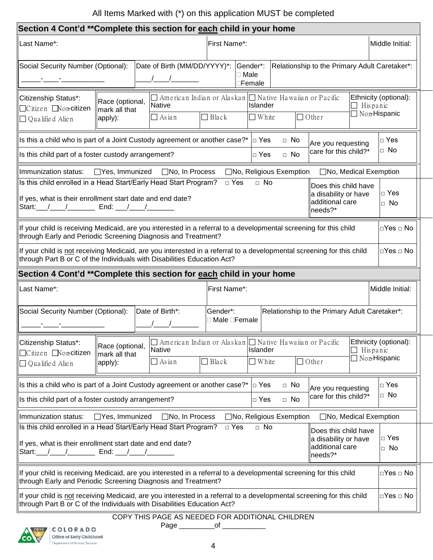## All Items Marked with (\*) on this application MUST be completed

| Section 4 Cont'd **Complete this section for each child in your home                                                                                                                                                                                                                                                                                                                   |                                                                                                                                                                                                                                                            |                                                                                                      |                            |                                       |                        |                                                                                                      |                                              |                                              |
|----------------------------------------------------------------------------------------------------------------------------------------------------------------------------------------------------------------------------------------------------------------------------------------------------------------------------------------------------------------------------------------|------------------------------------------------------------------------------------------------------------------------------------------------------------------------------------------------------------------------------------------------------------|------------------------------------------------------------------------------------------------------|----------------------------|---------------------------------------|------------------------|------------------------------------------------------------------------------------------------------|----------------------------------------------|----------------------------------------------|
| Last Name*:                                                                                                                                                                                                                                                                                                                                                                            |                                                                                                                                                                                                                                                            |                                                                                                      | First Name*:               |                                       |                        |                                                                                                      |                                              | Middle Initial:                              |
| Social Security Number (Optional):                                                                                                                                                                                                                                                                                                                                                     |                                                                                                                                                                                                                                                            | Date of Birth (MM/DD/YYYY)*:<br>$\begin{array}{ccc} \end{array}$                                     |                            | Gender*:<br>□ Male<br>∃Female         |                        | Relationship to the Primary Adult Caretaker*:                                                        |                                              |                                              |
| Citizenship Status*:<br>$\Box$ Citizen $\Box$ Non-citizen<br>$\Box$ Qualified Alien                                                                                                                                                                                                                                                                                                    | Race (optional,<br>mark all that<br>apply):                                                                                                                                                                                                                | $\Box$ American Indian or Alaskan $\Box$ Native Hawaiian or Pacific<br><b>Native</b><br>$\Box$ Asian | $\Box$ Black               | <b>Islander</b><br>$\Box$ White       |                        | $\Box$ Other                                                                                         | $\Box$ Hispanic                              | Ethnicity (optional):<br>$\Box$ Non-Hispanic |
| Is this a child who is part of a Joint Custody agreement or another case?* $ _D$ Yes<br>Is this child part of a foster custody arrangement?                                                                                                                                                                                                                                            |                                                                                                                                                                                                                                                            |                                                                                                      |                            | $\Box$ Yes                            | $\Box$ No<br>$\Box$ No | Are you requesting<br>care for this child?*                                                          |                                              | $\Box$ Yes<br>$\Box$ No                      |
| Immunization status:<br>Is this child enrolled in a Head Start/Early Head Start Program?<br>If yes, what is their enrollment start date and end date?<br>Start: $/$ / End: / /                                                                                                                                                                                                         |                                                                                                                                                                                                                                                            | $\Box$ Yes, Immunized $\Box$ No, In Process                                                          | $\Box$ Yes                 | □No, Religious Exemption<br>$\Box$ No |                        | □No, Medical Exemption<br>Does this child have<br>a disability or have<br>additional care<br>needs?* |                                              | $\Box$ Yes<br>$\Box$ No                      |
| If your child is receiving Medicaid, are you interested in a referral to a developmental screening for this child<br>through Early and Periodic Screening Diagnosis and Treatment?<br>If your child is not receiving Medicaid, are you interested in a referral to a developmental screening for this child<br>through Part B or C of the Individuals with Disabilities Education Act? |                                                                                                                                                                                                                                                            |                                                                                                      |                            |                                       |                        |                                                                                                      | $\Box$ Yes $\Box$ No<br>$\Box$ Yes $\Box$ No |                                              |
| Section 4 Cont'd **Complete this section for each child in your home                                                                                                                                                                                                                                                                                                                   |                                                                                                                                                                                                                                                            |                                                                                                      |                            |                                       |                        |                                                                                                      |                                              |                                              |
| Last Name*:                                                                                                                                                                                                                                                                                                                                                                            |                                                                                                                                                                                                                                                            |                                                                                                      | First Name*:               |                                       |                        |                                                                                                      |                                              | Middle Initial:                              |
| Social Security Number (Optional):                                                                                                                                                                                                                                                                                                                                                     |                                                                                                                                                                                                                                                            | Date of Birth*:                                                                                      | Gender*:<br>□ Male □Female |                                       |                        | Relationship to the Primary Adult Caretaker*:                                                        |                                              |                                              |
| Citizenship Status*:<br>  □ Citizen ■ Non-citizen<br>$\Box$ Qualified Alien                                                                                                                                                                                                                                                                                                            | Race (optional,<br>mark all that<br>apply):                                                                                                                                                                                                                | $\Box$ American Indian or Alaskan $\Box$ Native Hawaiian or Pacific<br>Native<br>$\Box$ Asian        | $\Box$ Black               | Islander<br>$\Box$ White              |                        | $\Box$ Other                                                                                         | Hispanic                                     | Ethnicity (optional):<br>□ Non-Hispanic      |
|                                                                                                                                                                                                                                                                                                                                                                                        | Is this a child who is part of a Joint Custody agreement or another case?*  □ Yes<br>$\Box$ Yes<br>$\Box$ No<br>Are you requesting<br>$\Box$ No<br>care for this child?*<br>Is this child part of a foster custody arrangement?<br>$\Box$ Yes<br>$\Box$ No |                                                                                                      |                            |                                       |                        |                                                                                                      |                                              |                                              |
| Immunization status:<br>□Yes, Immunized<br>$\Box$ No, In Process<br>□No, Religious Exemption<br>□No, Medical Exemption<br>$\Box$ No                                                                                                                                                                                                                                                    |                                                                                                                                                                                                                                                            |                                                                                                      |                            |                                       |                        |                                                                                                      |                                              |                                              |
| Is this child enrolled in a Head Start/Early Head Start Program?<br>$\Box$ Yes<br>Does this child have<br>a disability or have<br>If yes, what is their enrollment start date and end date?<br>additional care<br>Start:___/___ /<br>End: $\frac{1}{2}$ /<br>needs?*                                                                                                                   |                                                                                                                                                                                                                                                            |                                                                                                      |                            |                                       |                        | $\Box$ Yes<br>$\Box$ No                                                                              |                                              |                                              |
| If your child is receiving Medicaid, are you interested in a referral to a developmental screening for this child<br>through Early and Periodic Screening Diagnosis and Treatment?                                                                                                                                                                                                     |                                                                                                                                                                                                                                                            |                                                                                                      |                            |                                       |                        | □Yes □ No                                                                                            |                                              |                                              |
| If your child is not receiving Medicaid, are you interested in a referral to a developmental screening for this child<br>through Part B or C of the Individuals with Disabilities Education Act?                                                                                                                                                                                       |                                                                                                                                                                                                                                                            |                                                                                                      |                            |                                       |                        |                                                                                                      |                                              | □Yes □ No                                    |
|                                                                                                                                                                                                                                                                                                                                                                                        |                                                                                                                                                                                                                                                            | COPY THIS PAGE AS NEEDED FOR ADDITIONAL CHILDREN                                                     |                            |                                       |                        |                                                                                                      |                                              |                                              |
| A COLORADO                                                                                                                                                                                                                                                                                                                                                                             |                                                                                                                                                                                                                                                            | Page ________                                                                                        | _of $\_$                   |                                       |                        |                                                                                                      |                                              |                                              |

CO

Office of Early Childhood Department of Human Services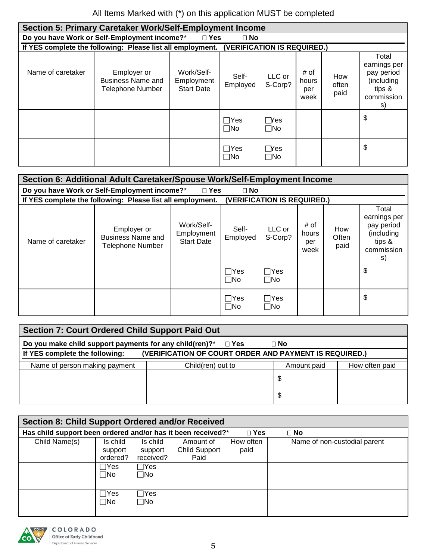| Section 5: Primary Caretaker Work/Self-Employment Income |                                                                                        |                                               |                                |                               |                              |                      |                                                                                 |  |  |
|----------------------------------------------------------|----------------------------------------------------------------------------------------|-----------------------------------------------|--------------------------------|-------------------------------|------------------------------|----------------------|---------------------------------------------------------------------------------|--|--|
|                                                          | Do you have Work or Self-Employment income?*<br>$\Box$ Yes<br>$\Box$ No                |                                               |                                |                               |                              |                      |                                                                                 |  |  |
|                                                          | If YES complete the following: Please list all employment. (VERIFICATION IS REQUIRED.) |                                               |                                |                               |                              |                      |                                                                                 |  |  |
| Name of caretaker                                        | Employer or<br>Business Name and<br><b>Telephone Number</b>                            | Work/Self-<br>Employment<br><b>Start Date</b> | Self-<br>Employed              | LLC or<br>S-Corp?             | # of<br>hours<br>per<br>week | How<br>often<br>paid | Total<br>earnings per<br>pay period<br>(including<br>tips &<br>commission<br>S) |  |  |
|                                                          |                                                                                        |                                               | $\sqcap$ Yes<br>$\sqcap$ No    | $\bigcap$ Yes<br>$\square$ No |                              |                      | \$                                                                              |  |  |
|                                                          |                                                                                        |                                               | $\sqsupset$ Yes<br>$\sqcap$ No | $\bigcap$ Yes<br>$\Box$ No    |                              |                      | \$                                                                              |  |  |

| Section 6: Additional Adult Caretaker/Spouse Work/Self-Employment Income   |                                                                                           |                                               |                           |                           |                              |                      |                                                                                    |  |  |
|----------------------------------------------------------------------------|-------------------------------------------------------------------------------------------|-----------------------------------------------|---------------------------|---------------------------|------------------------------|----------------------|------------------------------------------------------------------------------------|--|--|
| Do you have Work or Self-Employment income?*<br>$\Box$ Yes<br>$\square$ No |                                                                                           |                                               |                           |                           |                              |                      |                                                                                    |  |  |
|                                                                            | If YES complete the following: Please list all employment.<br>(VERIFICATION IS REQUIRED.) |                                               |                           |                           |                              |                      |                                                                                    |  |  |
| Name of caretaker                                                          | Employer or<br><b>Business Name and</b><br><b>Telephone Number</b>                        | Work/Self-<br>Employment<br><b>Start Date</b> | Self-<br>Employed         | LLC or<br>S-Corp?         | # of<br>hours<br>per<br>week | How<br>Often<br>paid | Total<br>earnings per<br>pay period<br>(including<br>tips $\&$<br>commission<br>S) |  |  |
|                                                                            |                                                                                           |                                               | $\sqcap$ Yes<br>$\Box$ No | $\sqcap$ Yes<br>$\Box$ No |                              |                      | \$                                                                                 |  |  |
|                                                                            |                                                                                           |                                               | $\sqcap$ Yes<br>$\Box$ No | $\sqcap$ Yes<br>$\Box$ No |                              |                      | \$                                                                                 |  |  |

| <b>Section 7: Court Ordered Child Support Paid Out</b>                        |                                                        |             |                |  |  |  |  |  |
|-------------------------------------------------------------------------------|--------------------------------------------------------|-------------|----------------|--|--|--|--|--|
| Do you make child support payments for any child(ren)?*<br>$\Box$ No<br>□ Yes |                                                        |             |                |  |  |  |  |  |
| If YES complete the following:                                                | (VERIFICATION OF COURT ORDER AND PAYMENT IS REQUIRED.) |             |                |  |  |  |  |  |
| Name of person making payment                                                 | Child(ren) out to                                      | Amount paid | How often paid |  |  |  |  |  |
|                                                                               |                                                        | \$          |                |  |  |  |  |  |
|                                                                               |                                                        | \$          |                |  |  |  |  |  |

|                                                                                            | <b>Section 8: Child Support Ordered and/or Received</b> |              |                      |           |                              |  |  |  |  |  |  |
|--------------------------------------------------------------------------------------------|---------------------------------------------------------|--------------|----------------------|-----------|------------------------------|--|--|--|--|--|--|
| Has child support been ordered and/or has it been received?*<br>$\square$ Yes<br>$\Box$ No |                                                         |              |                      |           |                              |  |  |  |  |  |  |
| Child Name(s)                                                                              | Is child                                                | Is child     | Amount of            | How often | Name of non-custodial parent |  |  |  |  |  |  |
|                                                                                            | support                                                 | support      | <b>Child Support</b> | paid      |                              |  |  |  |  |  |  |
|                                                                                            | ordered?                                                | received?    | Paid                 |           |                              |  |  |  |  |  |  |
|                                                                                            | $\sqcap$ Yes                                            | $\Box Y$ es  |                      |           |                              |  |  |  |  |  |  |
|                                                                                            | $\square$ No                                            | $\square$ No |                      |           |                              |  |  |  |  |  |  |
|                                                                                            |                                                         |              |                      |           |                              |  |  |  |  |  |  |
|                                                                                            | $\sqcap$ Yes                                            | $\Box$ Yes   |                      |           |                              |  |  |  |  |  |  |
|                                                                                            | $\Box$ No                                               | $\square$ No |                      |           |                              |  |  |  |  |  |  |
|                                                                                            |                                                         |              |                      |           |                              |  |  |  |  |  |  |

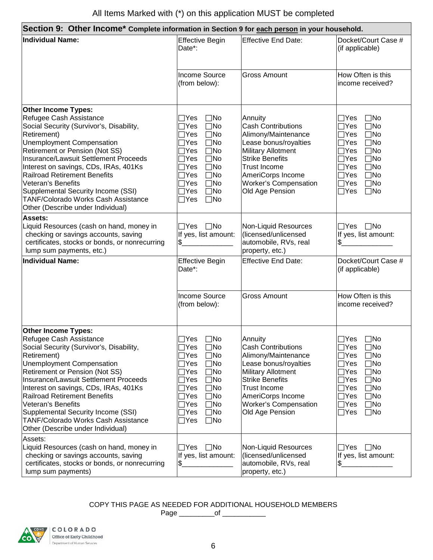| Section 9: Other Income* Complete information in Section 9 for each person in your household.                                                                                                                                                                                                                                                                                                                                                                  |                                                                                                                                                                                                                                                                                                                                                              |                                                                                                                                                                                                                                            |                                                                                                                                                                                                                                                                                                     |  |  |  |
|----------------------------------------------------------------------------------------------------------------------------------------------------------------------------------------------------------------------------------------------------------------------------------------------------------------------------------------------------------------------------------------------------------------------------------------------------------------|--------------------------------------------------------------------------------------------------------------------------------------------------------------------------------------------------------------------------------------------------------------------------------------------------------------------------------------------------------------|--------------------------------------------------------------------------------------------------------------------------------------------------------------------------------------------------------------------------------------------|-----------------------------------------------------------------------------------------------------------------------------------------------------------------------------------------------------------------------------------------------------------------------------------------------------|--|--|--|
| <b>Individual Name:</b>                                                                                                                                                                                                                                                                                                                                                                                                                                        | <b>Effective Begin</b><br>Date*:                                                                                                                                                                                                                                                                                                                             | <b>Effective End Date:</b>                                                                                                                                                                                                                 | Docket/Court Case #<br>(if applicable)                                                                                                                                                                                                                                                              |  |  |  |
|                                                                                                                                                                                                                                                                                                                                                                                                                                                                | <b>Income Source</b><br>(from below):                                                                                                                                                                                                                                                                                                                        | <b>Gross Amount</b>                                                                                                                                                                                                                        | How Often is this<br>income received?                                                                                                                                                                                                                                                               |  |  |  |
| <b>Other Income Types:</b><br>Refugee Cash Assistance<br>Social Security (Survivor's, Disability,<br>Retirement)<br><b>Unemployment Compensation</b><br>Retirement or Pension (Not SS)<br>Insurance/Lawsuit Settlement Proceeds<br>Interest on savings, CDs, IRAs, 401Ks<br><b>Railroad Retirement Benefits</b><br>Veteran's Benefits<br>Supplemental Security Income (SSI)<br><b>TANF/Colorado Works Cash Assistance</b><br>Other (Describe under Individual) | 7Yes<br>$\square$ No<br>$\square$ No<br>$\exists$ Yes<br>$\square$ No<br>$\exists$ Yes<br>$\exists$ Yes<br>$\square$ No<br>$\exists$ Yes<br>$\square$ No<br>$\exists$ Yes<br>$\square$ No<br>$\exists$ Yes<br>$\square$ No<br>$\exists$ Yes<br>$\square$ No<br>$\exists Y$ es<br>$\square$ No<br>$\exists$ Yes<br>$\square$ No<br>$\square$ No<br>$\Box$ Yes | Annuity<br><b>Cash Contributions</b><br>Alimony/Maintenance<br>Lease bonus/royalties<br><b>Military Allotment</b><br><b>Strike Benefits</b><br><b>Trust Income</b><br>AmeriCorps Income<br>Worker's Compensation<br>Old Age Pension        | $\Box$ No<br>$\exists$ Yes<br>$\Box$ No<br>$\sqcap$ Yes<br>$\Box$ No<br>∏Yes<br>$\Box$ No<br>$7$ Yes<br>$\square$ No<br>$\sqcap$ Yes<br>$\square$ No<br>$\exists$ Yes<br>$\Box$ No<br>7Yes<br>$\Box$ No<br>$\exists$ Yes<br>$\Box$ No<br>$\sqcap$ Yes<br>$\Box$ No<br>$\sqcap$ Yes                  |  |  |  |
| <b>Assets:</b><br>Liquid Resources (cash on hand, money in<br>checking or savings accounts, saving<br>certificates, stocks or bonds, or nonrecurring<br>lump sum payments, etc.)                                                                                                                                                                                                                                                                               | $\square$ No<br>$\Box$ Yes<br>If yes, list amount:<br>\$                                                                                                                                                                                                                                                                                                     | Non-Liquid Resources<br>(licensed/unlicensed<br>automobile, RVs, real<br>property, etc.)                                                                                                                                                   | $\Box Y$ es $\Box$ No<br>If yes, list amount:<br>\$                                                                                                                                                                                                                                                 |  |  |  |
| <b>Individual Name:</b>                                                                                                                                                                                                                                                                                                                                                                                                                                        | <b>Effective Begin</b><br>Date*:                                                                                                                                                                                                                                                                                                                             | <b>Effective End Date:</b>                                                                                                                                                                                                                 | Docket/Court Case #<br>(if applicable)                                                                                                                                                                                                                                                              |  |  |  |
|                                                                                                                                                                                                                                                                                                                                                                                                                                                                | Income Source<br>(from below):                                                                                                                                                                                                                                                                                                                               | <b>Gross Amount</b>                                                                                                                                                                                                                        | How Often is this<br>income received?                                                                                                                                                                                                                                                               |  |  |  |
| <b>Other Income Types:</b><br>Refugee Cash Assistance<br>Social Security (Survivor's, Disability,<br>Retirement)<br><b>Unemployment Compensation</b><br>Retirement or Pension (Not SS)<br>Insurance/Lawsuit Settlement Proceeds<br>Interest on savings, CDs, IRAs, 401Ks<br><b>Railroad Retirement Benefits</b><br>Veteran's Benefits<br>Supplemental Security Income (SSI)<br><b>TANF/Colorado Works Cash Assistance</b><br>Other (Describe under Individual) | $\Box$ Yes<br>$\square$ No<br>$\square$ No<br>_Yes<br>∏Yes<br>$\square$ No<br>$\exists$ Yes<br>$\square$ No<br>]Yes<br>$\square$ No<br>$\exists Y$ es<br>$\square$ No<br>$\exists$ Yes<br>$\square$ No<br>$\exists$ Yes<br>$\square$ No<br>$\exists$ Yes<br>$\square$ No<br>$\exists$ Yes<br>$\square$ No<br>$\exists$ Yes<br>$\square$ No                   | Annuity<br><b>Cash Contributions</b><br>Alimony/Maintenance<br>Lease bonus/royalties<br><b>Military Allotment</b><br><b>Strike Benefits</b><br><b>Trust Income</b><br>AmeriCorps Income<br><b>Worker's Compensation</b><br>Old Age Pension | $\Box$ Yes $\Box$ No<br>$\square$ No<br>_Yes<br>$\square$ No<br>$\exists$ Yes<br>$\square$ No<br>$\exists$ Yes<br>$\square$ No<br>∃Yes<br>$\square$ No<br>$\sqcap$ Yes<br>$\square$ No<br>$\exists$ Yes<br>$\Box$ No<br>$\exists$ Yes<br>$\square$ No<br>$\sqcap$ Yes<br>$\square$ No<br>$\Box$ Yes |  |  |  |
| Assets:<br>Liquid Resources (cash on hand, money in<br>checking or savings accounts, saving<br>certificates, stocks or bonds, or nonrecurring<br>lump sum payments)                                                                                                                                                                                                                                                                                            | $\Box$ Yes<br>$\square$ No<br>If yes, list amount:<br>\$.                                                                                                                                                                                                                                                                                                    | Non-Liquid Resources<br>(licensed/unlicensed<br>automobile, RVs, real<br>property, etc.)                                                                                                                                                   | _Yes □No<br>If yes, list amount:<br>\$.                                                                                                                                                                                                                                                             |  |  |  |

COPY THIS PAGE AS NEEDED FOR ADDITIONAL HOUSEHOLD MEMBERS

Page \_\_\_\_\_\_\_\_\_of \_\_\_\_\_\_\_\_\_\_\_

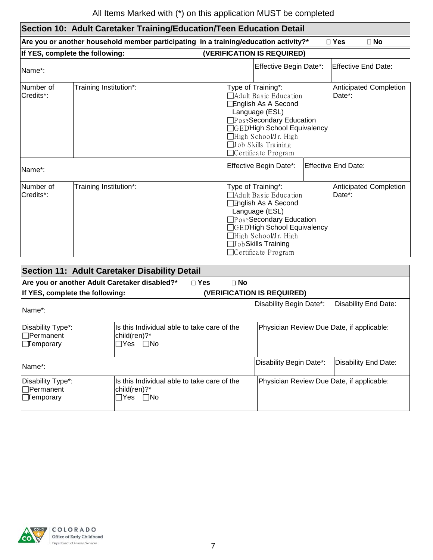| Section 10: Adult Caretaker Training/Education/Teen Education Detail |                                 |                                                                                                                                                                                                                                                                                         |  |  |  |  |  |  |
|----------------------------------------------------------------------|---------------------------------|-----------------------------------------------------------------------------------------------------------------------------------------------------------------------------------------------------------------------------------------------------------------------------------------|--|--|--|--|--|--|
|                                                                      |                                 | Are you or another household member participating in a training/education activity?*<br>$\square$ Yes<br>$\square$ No                                                                                                                                                                   |  |  |  |  |  |  |
|                                                                      | If YES, complete the following: | (VERIFICATION IS REQUIRED)                                                                                                                                                                                                                                                              |  |  |  |  |  |  |
| Name*:                                                               |                                 | Effective Begin Date*:<br><b>Effective End Date:</b>                                                                                                                                                                                                                                    |  |  |  |  |  |  |
| Number of<br>Credits*:                                               | Training Institution*:          | Type of Training*:<br><b>Anticipated Completion</b><br>Date*:<br>Adult Basic Education<br>English As A Second<br>Language (ESL)<br>□PostSecondary Education<br>GED'High School Equivalency<br>⊣High School/Jr. High<br>$\Box$ Job Skills Training<br>$\Box$ Certificate Program         |  |  |  |  |  |  |
| Name*:                                                               |                                 | Effective Begin Date*:<br><b>Effective End Date:</b>                                                                                                                                                                                                                                    |  |  |  |  |  |  |
| Number of<br>Credits*:                                               | Training Institution*:          | Type of Training*:<br><b>Anticipated Completion</b><br>Date*:<br>TAdult Basic Education<br><b>Thglish As A Second</b><br>Language (ESL)<br>PostSecondary Education<br>□GED'High School Equivalency<br>∐High School/Jr. High<br><b>JJobSkills Training</b><br>$\Box$ Certificate Program |  |  |  |  |  |  |

| Section 11: Adult Caretaker Disability Detail                  |                                                                          |                                           |                      |  |  |  |  |  |  |
|----------------------------------------------------------------|--------------------------------------------------------------------------|-------------------------------------------|----------------------|--|--|--|--|--|--|
|                                                                | Are you or another Adult Caretaker disabled?*<br>$\Box$ Yes<br>$\Box$ No |                                           |                      |  |  |  |  |  |  |
|                                                                | If YES, complete the following:<br>(VERIFICATION IS REQUIRED)            |                                           |                      |  |  |  |  |  |  |
| Name*:                                                         |                                                                          | Disability Begin Date*:                   | Disability End Date: |  |  |  |  |  |  |
| Disability Type*:<br>$\Box$ Permanent<br>$\Box$ Temporary      | Is this Individual able to take care of the<br>child(ren)?*<br>∏Yes ∏No  | Physician Review Due Date, if applicable: |                      |  |  |  |  |  |  |
| Name*:                                                         | Disability End Date:<br>Disability Begin Date*:                          |                                           |                      |  |  |  |  |  |  |
| Disability Type*:<br>$\Box$ Permanent<br>$\parallel$ Temporary | Is this Individual able to take care of the<br> child(ren)?*<br>∏Yes ∏No | Physician Review Due Date, if applicable: |                      |  |  |  |  |  |  |

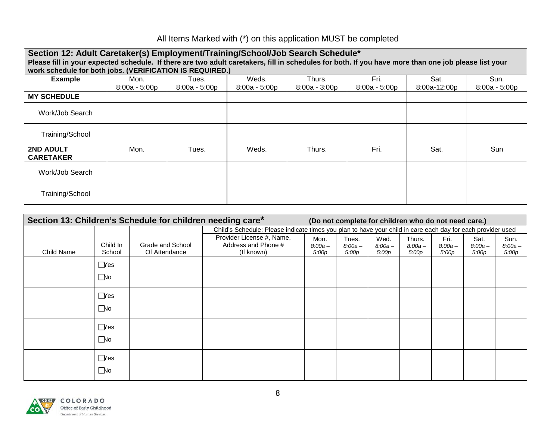## All Items Marked with (\*) on this application MUST be completed

| Section 12: Adult Caretaker(s) Employment/Training/School/Job Search Schedule*                                                                       |                                                          |                 |                 |                 |                 |              |                 |  |  |
|------------------------------------------------------------------------------------------------------------------------------------------------------|----------------------------------------------------------|-----------------|-----------------|-----------------|-----------------|--------------|-----------------|--|--|
| Please fill in your expected schedule. If there are two adult caretakers, fill in schedules for both. If you have more than one job please list your |                                                          |                 |                 |                 |                 |              |                 |  |  |
|                                                                                                                                                      | work schedule for both jobs. (VERIFICATION IS REQUIRED.) |                 |                 |                 |                 |              |                 |  |  |
| <b>Example</b>                                                                                                                                       | Mon.                                                     | Tues.           | Weds.           | Thurs.          | Fri.            | Sat.         | Sun.            |  |  |
|                                                                                                                                                      | $8:00a - 5:00p$                                          | $8:00a - 5:00p$ | $8:00a - 5:00p$ | $8:00a - 3:00p$ | $8:00a - 5:00p$ | 8:00a-12:00p | $8:00a - 5:00p$ |  |  |
| <b>MY SCHEDULE</b>                                                                                                                                   |                                                          |                 |                 |                 |                 |              |                 |  |  |
| Work/Job Search                                                                                                                                      |                                                          |                 |                 |                 |                 |              |                 |  |  |
| Training/School                                                                                                                                      |                                                          |                 |                 |                 |                 |              |                 |  |  |
| <b>2ND ADULT</b><br><b>CARETAKER</b>                                                                                                                 | Mon.                                                     | Tues.           | Weds.           | Thurs.          | Fri.            | Sat.         | Sun             |  |  |
| Work/Job Search                                                                                                                                      |                                                          |                 |                 |                 |                 |              |                 |  |  |
| Training/School                                                                                                                                      |                                                          |                 |                 |                 |                 |              |                 |  |  |

| Section 13: Children's Schedule for children needing care*<br>(Do not complete for children who do not need care.) |                            |                                   |                                                                                                             |                            |                             |                            |                              |                            |                            |                            |
|--------------------------------------------------------------------------------------------------------------------|----------------------------|-----------------------------------|-------------------------------------------------------------------------------------------------------------|----------------------------|-----------------------------|----------------------------|------------------------------|----------------------------|----------------------------|----------------------------|
|                                                                                                                    |                            |                                   | Child's Schedule: Please indicate times you plan to have your child in care each day for each provider used |                            |                             |                            |                              |                            |                            |                            |
| Child Name                                                                                                         | Child In<br>School         | Grade and School<br>Of Attendance | Provider License #, Name,<br>Address and Phone #<br>(If known)                                              | Mon.<br>$8:00a -$<br>5:00p | Tues.<br>$8:00a -$<br>5:00p | Wed.<br>$8:00a -$<br>5:00p | Thurs.<br>$8:00a -$<br>5:00p | Fri.<br>$8:00a -$<br>5:00p | Sat.<br>$8:00a -$<br>5:00p | Sun.<br>$8:00a -$<br>5:00p |
|                                                                                                                    | $\Box$ Yes<br>$\Box$ No    |                                   |                                                                                                             |                            |                             |                            |                              |                            |                            |                            |
|                                                                                                                    | $\Box$ Yes<br>$\Box$ No    |                                   |                                                                                                             |                            |                             |                            |                              |                            |                            |                            |
|                                                                                                                    | $\Box$ Yes<br>$\Box$ No    |                                   |                                                                                                             |                            |                             |                            |                              |                            |                            |                            |
|                                                                                                                    | $\Box$ Yes<br>$\square$ No |                                   |                                                                                                             |                            |                             |                            |                              |                            |                            |                            |

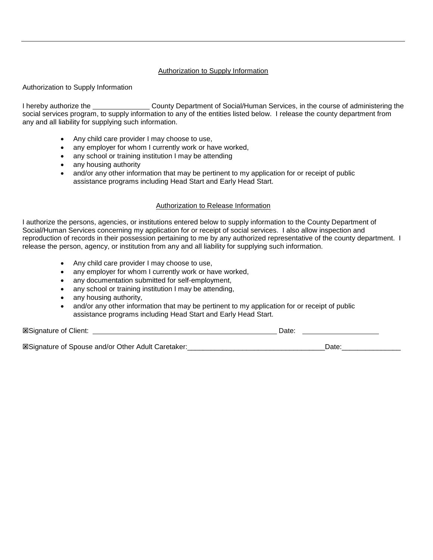#### Authorization to Supply Information

Authorization to Supply Information

I hereby authorize the County Department of Social/Human Services, in the course of administering the social services program, to supply information to any of the entities listed below. I release the county department from any and all liability for supplying such information.

- Any child care provider I may choose to use,
- any employer for whom I currently work or have worked,
- any school or training institution I may be attending
- any housing authority
- and/or any other information that may be pertinent to my application for or receipt of public assistance programs including Head Start and Early Head Start.

#### Authorization to Release Information

I authorize the persons, agencies, or institutions entered below to supply information to the County Department of Social/Human Services concerning my application for or receipt of social services. I also allow inspection and reproduction of records in their possession pertaining to me by any authorized representative of the county department. I release the person, agency, or institution from any and all liability for supplying such information.

- Any child care provider I may choose to use,
- any employer for whom I currently work or have worked,
- any documentation submitted for self-employment,
- any school or training institution I may be attending,
- any housing authority,
- and/or any other information that may be pertinent to my application for or receipt of public assistance programs including Head Start and Early Head Start.

| <b>ESignature of Client:</b>                              | Date: |       |
|-----------------------------------------------------------|-------|-------|
|                                                           |       |       |
| <b>ESignature of Spouse and/or Other Adult Caretaker:</b> |       | Date. |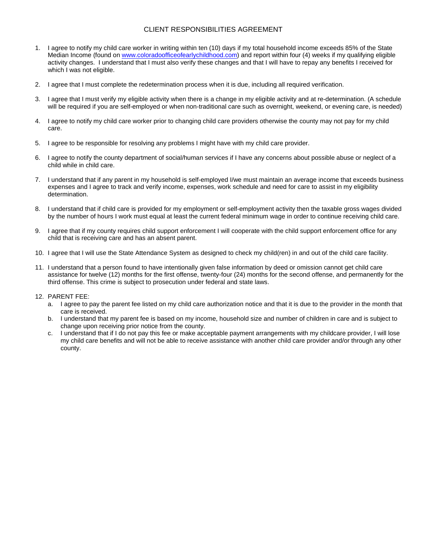#### CLIENT RESPONSIBILITIES AGREEMENT

- 1. I agree to notify my child care worker in writing within ten (10) days if my total household income exceeds 85% of the State Median Income (found on [www.coloradoofficeofearlychildhood.com\)](http://www.coloradoofficeofearlychildhood.com/) and report within four (4) weeks if my qualifying eligible activity changes. I understand that I must also verify these changes and that I will have to repay any benefits I received for which I was not eligible.
- 2. I agree that I must complete the redetermination process when it is due, including all required verification.
- 3. I agree that I must verify my eligible activity when there is a change in my eligible activity and at re-determination. (A schedule will be required if you are self-employed or when non-traditional care such as overnight, weekend, or evening care, is needed)
- 4. I agree to notify my child care worker prior to changing child care providers otherwise the county may not pay for my child care.
- 5. I agree to be responsible for resolving any problems I might have with my child care provider.
- 6. I agree to notify the county department of social/human services if I have any concerns about possible abuse or neglect of a child while in child care.
- 7. I understand that if any parent in my household is self-employed I/we must maintain an average income that exceeds business expenses and I agree to track and verify income, expenses, work schedule and need for care to assist in my eligibility determination.
- 8. I understand that if child care is provided for my employment or self-employment activity then the taxable gross wages divided by the number of hours I work must equal at least the current federal minimum wage in order to continue receiving child care.
- 9. I agree that if my county requires child support enforcement I will cooperate with the child support enforcement office for any child that is receiving care and has an absent parent.
- 10. I agree that I will use the State Attendance System as designed to check my child(ren) in and out of the child care facility.
- 11. I understand that a person found to have intentionally given false information by deed or omission cannot get child care assistance for twelve (12) months for the first offense, twenty-four (24) months for the second offense, and permanently for the third offense. This crime is subject to prosecution under federal and state laws.
- 12. PARENT FEE:
	- a. I agree to pay the parent fee listed on my child care authorization notice and that it is due to the provider in the month that care is received.
	- b. I understand that my parent fee is based on my income, household size and number of children in care and is subject to change upon receiving prior notice from the county.
	- c. I understand that if I do not pay this fee or make acceptable payment arrangements with my childcare provider, I will lose my child care benefits and will not be able to receive assistance with another child care provider and/or through any other county.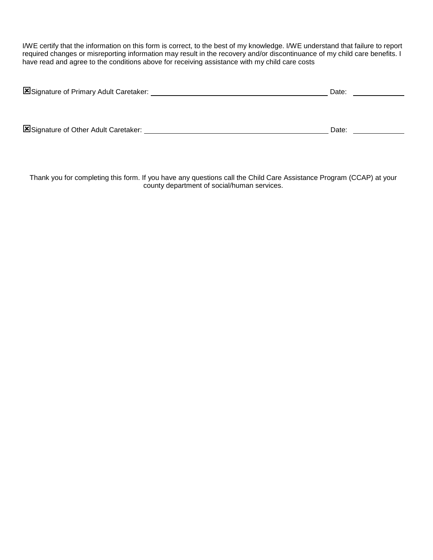I/WE certify that the information on this form is correct, to the best of my knowledge. I/WE understand that failure to report required changes or misreporting information may result in the recovery and/or discontinuance of my child care benefits. I have read and agree to the conditions above for receiving assistance with my child care costs

| Signature of Primary Adult Caretaker: | Date: |  |  |  |
|---------------------------------------|-------|--|--|--|
|                                       |       |  |  |  |
|                                       |       |  |  |  |
| Signature of Other Adult Caretaker:   | Date: |  |  |  |

Thank you for completing this form. If you have any questions call the Child Care Assistance Program (CCAP) at your county department of social/human services.